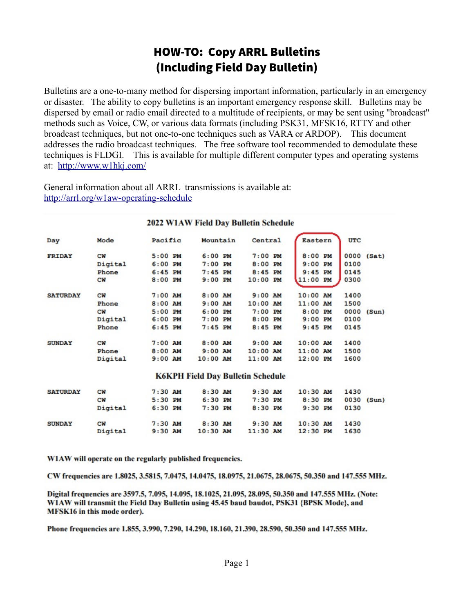## HOW-TO: Copy ARRL Bulletins (Including Field Day Bulletin)

Bulletins are a one-to-many method for dispersing important information, particularly in an emergency or disaster. The ability to copy bulletins is an important emergency response skill. Bulletins may be dispersed by email or radio email directed to a multitude of recipients, or may be sent using "broadcast" methods such as Voice, CW, or various data formats (including PSK31, MFSK16, RTTY and other broadcast techniques, but not one-to-one techniques such as VARA or ARDOP). This document addresses the radio broadcast techniques. The free software tool recommended to demodulate these techniques is FLDGI. This is available for multiple different computer types and operating systems at: <http://www.w1hkj.com/>

General information about all ARRL transmissions is available at: <http://arrl.org/w1aw-operating-schedule>

| Day             | Mode      | Pacific   | Mountain                                 | Central    | Eastern    | <b>UTC</b>    |
|-----------------|-----------|-----------|------------------------------------------|------------|------------|---------------|
| <b>FRIDAY</b>   | <b>CW</b> | $5:00$ PM | $6:00$ PM                                | $7:00$ PM  | $8:00$ PM  | 0000 (Sat)    |
|                 | Digital   | $6:00$ PM | $7:00$ PM                                | $8:00$ PM  | $9:00$ PM  | 0100          |
|                 | Phone     | $6:45$ PM | $7:45$ PM                                | $8:45$ PM  | $9:45$ PM  | 0145          |
|                 | <b>CW</b> | $8:00$ PM | $9:00$ PM                                | $10:00$ PM | 11:00 PM   | 0300          |
| <b>SATURDAY</b> | <b>CW</b> | $7:00$ AM | $8:00$ AM                                | $9:00$ AM  | $10:00$ AM | 1400          |
|                 | Phone     | $8:00$ AM | $9:00$ AM                                | $10:00$ AM | $11:00$ AM | 1500          |
|                 | <b>CW</b> | $5:00$ PM | $6:00$ PM                                | $7:00$ PM  | $8:00$ PM  | 0000<br>(Sun) |
|                 | Digital   | $6:00$ PM | $7:00$ PM                                | $8:00$ PM  | $9:00$ PM  | 0100          |
|                 | Phone     | $6:45$ PM | $7:45$ PM                                | $8:45$ PM  | $9:45$ PM  | 0145          |
| <b>SUNDAY</b>   | CW        | $7:00$ AM | $8:00$ AM                                | $9:00$ AM  | $10:00$ AM | 1400          |
|                 | Phone     | $8:00$ AM | $9:00$ AM                                | $10:00$ AM | $11:00$ AM | 1500          |
|                 | Digital   | $9:00$ AM | $10:00$ AM                               | $11:00$ AM | $12:00$ PM | 1600          |
|                 |           |           | <b>K6KPH Field Day Bulletin Schedule</b> |            |            |               |
|                 |           |           |                                          |            |            |               |

#### 2022 W1AW Field Day Bulletin Schedule

| <b>SATURDAY</b> | <b>CW</b> | $7:30$ AM | $8:30$ AM  | $9:30$ AM  | $10:30$ AM | 1430 |              |
|-----------------|-----------|-----------|------------|------------|------------|------|--------------|
|                 | <b>CW</b> | 5:30 PM   | $6:30$ PM  | $7:30$ PM  | $8:30$ PM  |      | $0030$ (Sun) |
|                 | Digital   | $6:30$ PM | $7:30$ PM  | $8:30$ PM  | $9:30$ PM  | 0130 |              |
| <b>SUNDAY</b>   | <b>CW</b> | $7:30$ AM | $8:30$ AM  | $9:30$ AM  | $10:30$ AM | 1430 |              |
|                 | Digital   | $9:30$ AM | $10:30$ AM | $11:30$ AM | $12:30$ PM | 1630 |              |
|                 |           |           |            |            |            |      |              |

W1AW will operate on the regularly published frequencies.

CW frequencies are 1.8025, 3.5815, 7.0475, 14.0475, 18.0975, 21.0675, 28.0675, 50.350 and 147.555 MHz.

Digital frequencies are 3597.5, 7.095, 14.095, 18.1025, 21.095, 28.095, 50.350 and 147.555 MHz. (Note: W1AW will transmit the Field Day Bulletin using 45.45 baud baudot, PSK31 {BPSK Mode}, and MFSK16 in this mode order).

Phone frequencies are 1.855, 3.990, 7.290, 14.290, 18.160, 21.390, 28.590, 50.350 and 147.555 MHz.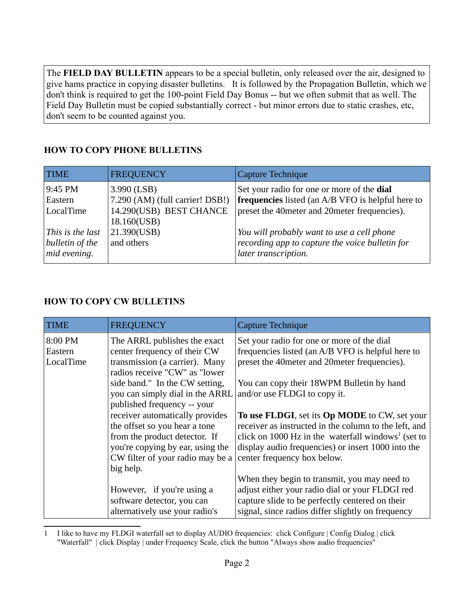The **FIELD DAY BULLETIN** appears to be a special bulletin, only released over the air, designed to give hams practice in copying disaster bulletins. It is followed by the Propagation Bulletin, which we don't think is required to get the 100-point Field Day Bonus -- but we often submit that as well. The Field Day Bulletin must be copied substantially correct - but minor errors due to static crashes, etc, don't seem to be counted against you.

## **HOW TO COPY PHONE BULLETINS**

| <b>TIME</b>                                         | <b>FREQUENCY</b>                               | Capture Technique                                                                                                     |
|-----------------------------------------------------|------------------------------------------------|-----------------------------------------------------------------------------------------------------------------------|
| 9:45 PM<br>Eastern                                  | 3.990 (LSB)<br>7.290 (AM) (full carrier! DSB!) | Set your radio for one or more of the dial<br><b>frequencies</b> listed (an A/B VFO is helpful here to                |
| LocalTime                                           | 14.290(USB) BEST CHANCE<br>18.160(USB)         | preset the 40meter and 20meter frequencies).                                                                          |
| This is the last<br>bulletin of the<br>mid evening. | 21.390(USB)<br>and others                      | You will probably want to use a cell phone<br>recording app to capture the voice bulletin for<br>later transcription. |

### **HOW TO COPY CW BULLETINS**

| <b>TIME</b>                     | <b>FREQUENCY</b>                                                                                                                                                                       | Capture Technique                                                                                                                                                                                                                                             |
|---------------------------------|----------------------------------------------------------------------------------------------------------------------------------------------------------------------------------------|---------------------------------------------------------------------------------------------------------------------------------------------------------------------------------------------------------------------------------------------------------------|
| 8:00 PM<br>Eastern<br>LocalTime | The ARRL publishes the exact<br>center frequency of their CW<br>transmission (a carrier). Many<br>radios receive "CW" as "lower                                                        | Set your radio for one or more of the dial<br>frequencies listed (an A/B VFO is helpful here to<br>preset the 40meter and 20meter frequencies).                                                                                                               |
|                                 | side band." In the CW setting,<br>you can simply dial in the ARRL<br>published frequency -- your                                                                                       | You can copy their 18WPM Bulletin by hand<br>and/or use FLDGI to copy it.                                                                                                                                                                                     |
|                                 | receiver automatically provides<br>the offset so you hear a tone<br>from the product detector. If<br>you're copying by ear, using the<br>CW filter of your radio may be a<br>big help. | To use FLDGI, set its Op MODE to CW, set your<br>receiver as instructed in the column to the left, and<br>click on 1000 Hz in the waterfall windows <sup>1</sup> (set to<br>display audio frequencies) or insert 1000 into the<br>center frequency box below. |
|                                 | However, if you're using a<br>software detector, you can<br>alternatively use your radio's                                                                                             | When they begin to transmit, you may need to<br>adjust either your radio dial or your FLDGI red<br>capture slide to be perfectly centered on their<br>signal, since radios differ slightly on frequency                                                       |

<span id="page-1-1"></span><span id="page-1-0"></span>[<sup>1</sup>](#page-1-0) I like to have my FLDGI waterfall set to display AUDIO frequencies: click Configure | Config Dialog | click "Waterfall" | click Display | under Frequency Scale, click the button "Always show audio frequencies"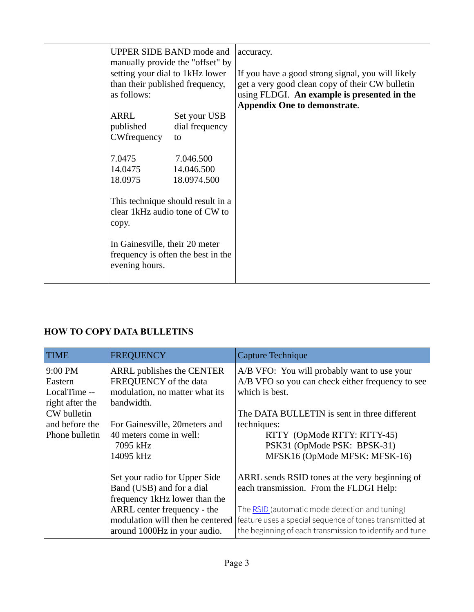| <b>UPPER SIDE BAND mode and</b><br>setting your dial to 1kHz lower<br>than their published frequency,<br>as follows: | manually provide the "offset" by  | accuracy.<br>If you have a good strong signal, you will likely<br>get a very good clean copy of their CW bulletin<br>using FLDGI. An example is presented in the<br><b>Appendix One to demonstrate.</b> |
|----------------------------------------------------------------------------------------------------------------------|-----------------------------------|---------------------------------------------------------------------------------------------------------------------------------------------------------------------------------------------------------|
| ARRL                                                                                                                 | Set your USB                      |                                                                                                                                                                                                         |
| published<br>CWfrequency                                                                                             | dial frequency<br>to              |                                                                                                                                                                                                         |
|                                                                                                                      |                                   |                                                                                                                                                                                                         |
| 7.0475                                                                                                               | 7.046.500                         |                                                                                                                                                                                                         |
| 14.0475                                                                                                              | 14.046.500                        |                                                                                                                                                                                                         |
| 18.0975                                                                                                              | 18.0974.500                       |                                                                                                                                                                                                         |
| clear 1kHz audio tone of CW to<br>copy.                                                                              | This technique should result in a |                                                                                                                                                                                                         |
| In Gainesville, their 20 meter<br>frequency is often the best in the<br>evening hours.                               |                                   |                                                                                                                                                                                                         |

## **HOW TO COPY DATA BULLETINS**

| <b>TIME</b>             | <b>FREQUENCY</b>                                        | Capture Technique                                                  |
|-------------------------|---------------------------------------------------------|--------------------------------------------------------------------|
| 9:00 PM                 | ARRL publishes the CENTER                               | A/B VFO: You will probably want to use your                        |
| Eastern<br>LocalTime -- | FREQUENCY of the data<br>modulation, no matter what its | A/B VFO so you can check either frequency to see<br>which is best. |
| right after the         | bandwidth.                                              |                                                                    |
| CW bulletin             |                                                         | The DATA BULLETIN is sent in three different                       |
| and before the          | For Gainesville, 20meters and                           | techniques:                                                        |
| Phone bulletin          | 40 meters come in well:                                 | RTTY (OpMode RTTY: RTTY-45)                                        |
|                         | 7095 kHz                                                | PSK31 (OpMode PSK: BPSK-31)                                        |
|                         | 14095 kHz                                               | MFSK16 (OpMode MFSK: MFSK-16)                                      |
|                         | Set your radio for Upper Side                           | ARRL sends RSID tones at the very beginning of                     |
|                         | Band (USB) and for a dial                               | each transmission. From the FLDGI Help:                            |
|                         | frequency 1kHz lower than the                           |                                                                    |
|                         | ARRL center frequency - the                             | The RSID (automatic mode detection and tuning)                     |
|                         | modulation will then be centered                        | feature uses a special sequence of tones transmitted at            |
|                         | around 1000Hz in your audio.                            | the beginning of each transmission to identify and tune            |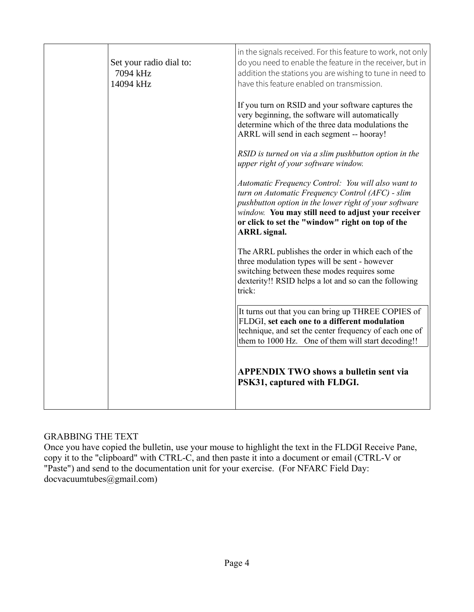| Set your radio dial to:<br>7094 kHz<br>14094 kHz | in the signals received. For this feature to work, not only<br>do you need to enable the feature in the receiver, but in<br>addition the stations you are wishing to tune in need to<br>have this feature enabled on transmission.                                                               |
|--------------------------------------------------|--------------------------------------------------------------------------------------------------------------------------------------------------------------------------------------------------------------------------------------------------------------------------------------------------|
|                                                  | If you turn on RSID and your software captures the<br>very beginning, the software will automatically<br>determine which of the three data modulations the<br>ARRL will send in each segment -- hooray!                                                                                          |
|                                                  | RSID is turned on via a slim pushbutton option in the<br>upper right of your software window.                                                                                                                                                                                                    |
|                                                  | Automatic Frequency Control: You will also want to<br>turn on Automatic Frequency Control (AFC) - slim<br>pushbutton option in the lower right of your software<br>window. You may still need to adjust your receiver<br>or click to set the "window" right on top of the<br><b>ARRL</b> signal. |
|                                                  | The ARRL publishes the order in which each of the<br>three modulation types will be sent - however<br>switching between these modes requires some<br>dexterity!! RSID helps a lot and so can the following<br>trick:                                                                             |
|                                                  | It turns out that you can bring up THREE COPIES of<br>FLDGI, set each one to a different modulation<br>technique, and set the center frequency of each one of<br>them to 1000 Hz. One of them will start decoding!!                                                                              |
|                                                  | <b>APPENDIX TWO shows a bulletin sent via</b><br>PSK31, captured with FLDGI.                                                                                                                                                                                                                     |

## GRABBING THE TEXT

Once you have copied the bulletin, use your mouse to highlight the text in the FLDGI Receive Pane, copy it to the "clipboard" with CTRL-C, and then paste it into a document or email (CTRL-V or "Paste") and send to the documentation unit for your exercise. (For NFARC Field Day: docvacuumtubes@gmail.com)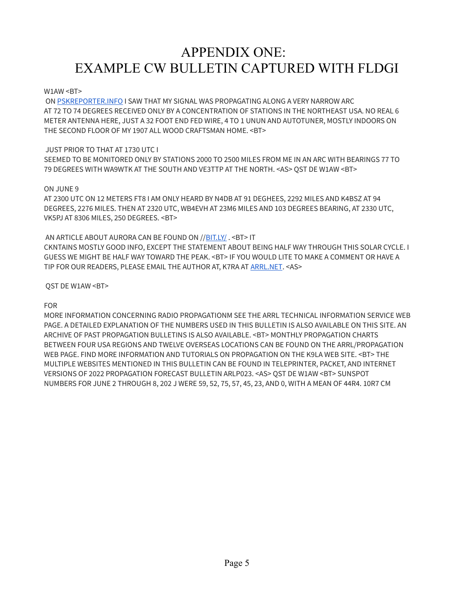# APPENDIX ONE: EXAMPLE CW BULLETIN CAPTURED WITH FLDGI

#### W1AW <BT>

 ON [PSKREPORTER.INFO](http://pskreporter.info/) I SAW THAT MY SIGNAL WAS PROPAGATING ALONG A VERY NARROW ARC AT 72 TO 74 DEGREES RECEIVED ONLY BY A CONCENTRATION OF STATIONS IN THE NORTHEAST USA. NO REAL 6 METER ANTENNA HERE, JUST A 32 FOOT END FED WIRE, 4 TO 1 UNUN AND AUTOTUNER, MOSTLY INDOORS ON THE SECOND FLOOR OF MY 1907 ALL WOOD CRAFTSMAN HOME. <BT>

#### JUST PRIOR TO THAT AT 1730 UTC I

SEEMED TO BE MONITORED ONLY BY STATIONS 2000 TO 2500 MILES FROM ME IN AN ARC WITH BEARINGS 77 TO 79 DEGREES WITH WA9WTK AT THE SOUTH AND VE3TTP AT THE NORTH. <AS> QST DE W1AW <BT>

#### ON JUNE 9

AT 2300 UTC ON 12 METERS FT8 I AM ONLY HEARD BY N4DB AT 91 DEGHEES, 2292 MILES AND K4BSZ AT 94 DEGREES, 2276 MILES. THEN AT 2320 UTC, WB4EVH AT 23M6 MILES AND 103 DEGREES BEARING, AT 2330 UTC, VK5PJ AT 8306 MILES, 250 DEGREES. <BT>

#### AN ARTICLE ABOUT AURORA CAN BE FOUND ON //[BIT.LY/](http://bit.ly/) . <BT> IT

CKNTAINS MOSTLY GOOD INFO, EXCEPT THE STATEMENT ABOUT BEING HALF WAY THROUGH THIS SOLAR CYCLE. I GUESS WE MIGHT BE HALF WAY TOWARD THE PEAK. <BT> IF YOU WOULD LITE TO MAKE A COMMENT OR HAVE A TIP FOR OUR READERS, PLEASE EMAIL THE AUTHOR AT, K7RA AT [ARRL.NET](http://arrl.net/). <AS>

#### QST DE W1AW <BT>

#### FOR

MORE INFORMATION CONCERNING RADIO PROPAGATIONM SEE THE ARRL TECHNICAL INFORMATION SERVICE WEB PAGE. A DETAILED EXPLANATION OF THE NUMBERS USED IN THIS BULLETIN IS ALSO AVAILABLE ON THIS SITE. AN ARCHIVE OF PAST PROPAGATION BULLETINS IS ALSO AVAILABLE. <BT> MONTHLY PROPAGATION CHARTS BETWEEN FOUR USA REGIONS AND TWELVE OVERSEAS LOCATIONS CAN BE FOUND ON THE ARRL/PROPAGATION WEB PAGE. FIND MORE INFORMATION AND TUTORIALS ON PROPAGATION ON THE K9LA WEB SITE. <BT> THE MULTIPLE WEBSITES MENTIONED IN THIS BULLETIN CAN BE FOUND IN TELEPRINTER, PACKET, AND INTERNET VERSIONS OF 2022 PROPAGATION FORECAST BULLETIN ARLP023. <AS> QST DE W1AW <BT> SUNSPOT NUMBERS FOR JUNE 2 THROUGH 8, 202 J WERE 59, 52, 75, 57, 45, 23, AND 0, WITH A MEAN OF 44R4. 10R7 CM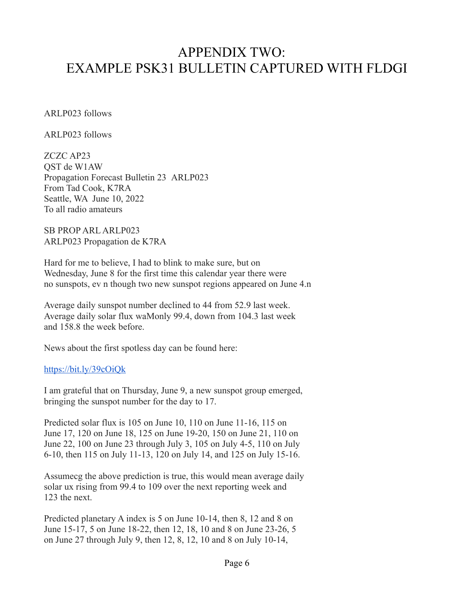## APPENDIX TWO: EXAMPLE PSK31 BULLETIN CAPTURED WITH FLDGI

ARLP023 follows

ARLP023 follows

ZCZC AP23 QST de W1AW Propagation Forecast Bulletin 23 ARLP023 From Tad Cook, K7RA Seattle, WA June 10, 2022 To all radio amateurs

SB PROP ARL ARLP023 ARLP023 Propagation de K7RA

Hard for me to believe, I had to blink to make sure, but on Wednesday, June 8 for the first time this calendar year there were no sunspots, ev n though two new sunspot regions appeared on June 4.n

Average daily sunspot number declined to 44 from 52.9 last week. Average daily solar flux waMonly 99.4, down from 104.3 last week and 158.8 the week before.

News about the first spotless day can be found here:

### <https://bit.ly/39cOiQk>

I am grateful that on Thursday, June 9, a new sunspot group emerged, bringing the sunspot number for the day to 17.

Predicted solar flux is 105 on June 10, 110 on June 11-16, 115 on June 17, 120 on June 18, 125 on June 19-20, 150 on June 21, 110 on June 22, 100 on June 23 through July 3, 105 on July 4-5, 110 on July 6-10, then 115 on July 11-13, 120 on July 14, and 125 on July 15-16.

Assumecg the above prediction is true, this would mean average daily solar ux rising from 99.4 to 109 over the next reporting week and 123 the next.

Predicted planetary A index is 5 on June 10-14, then 8, 12 and 8 on June 15-17, 5 on June 18-22, then 12, 18, 10 and 8 on June 23-26, 5 on June 27 through July 9, then 12, 8, 12, 10 and 8 on July 10-14,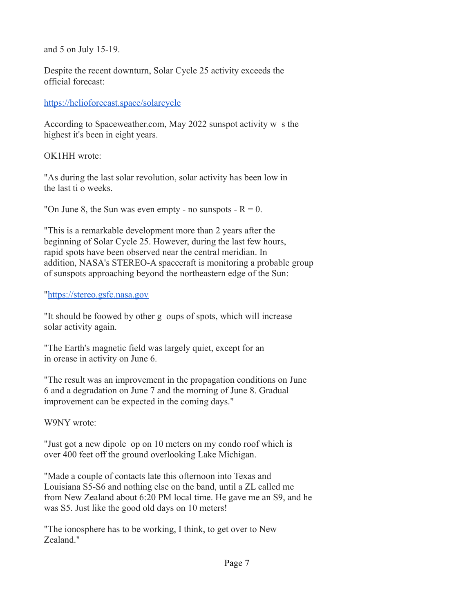and 5 on July 15-19.

Despite the recent downturn, Solar Cycle 25 activity exceeds the official forecast:

<https://helioforecast.space/solarcycle>

According to Spaceweather.com, May 2022 sunspot activity w s the highest it's been in eight years.

OK1HH wrote:

"As during the last solar revolution, solar activity has been low in the last ti o weeks.

"On June 8, the Sun was even empty - no sunspots -  $R = 0$ .

"This is a remarkable development more than 2 years after the beginning of Solar Cycle 25. However, during the last few hours, rapid spots have been observed near the central meridian. In addition, NASA's STEREO-A spacecraft is monitoring a probable group of sunspots approaching beyond the northeastern edge of the Sun:

"[https://stereo.gsfc.nasa.gov](https://stereo.gsfc.nasa.gov/)

"It should be foowed by other g oups of spots, which will increase solar activity again.

"The Earth's magnetic field was largely quiet, except for an in orease in activity on June 6.

"The result was an improvement in the propagation conditions on June 6 and a degradation on June 7 and the morning of June 8. Gradual improvement can be expected in the coming days."

W9NY wrote:

"Just got a new dipole op on 10 meters on my condo roof which is over 400 feet off the ground overlooking Lake Michigan.

"Made a couple of contacts late this ofternoon into Texas and Louisiana S5-S6 and nothing else on the band, until a ZL called me from New Zealand about 6:20 PM local time. He gave me an S9, and he was S5. Just like the good old days on 10 meters!

"The ionosphere has to be working, I think, to get over to New Zealand."